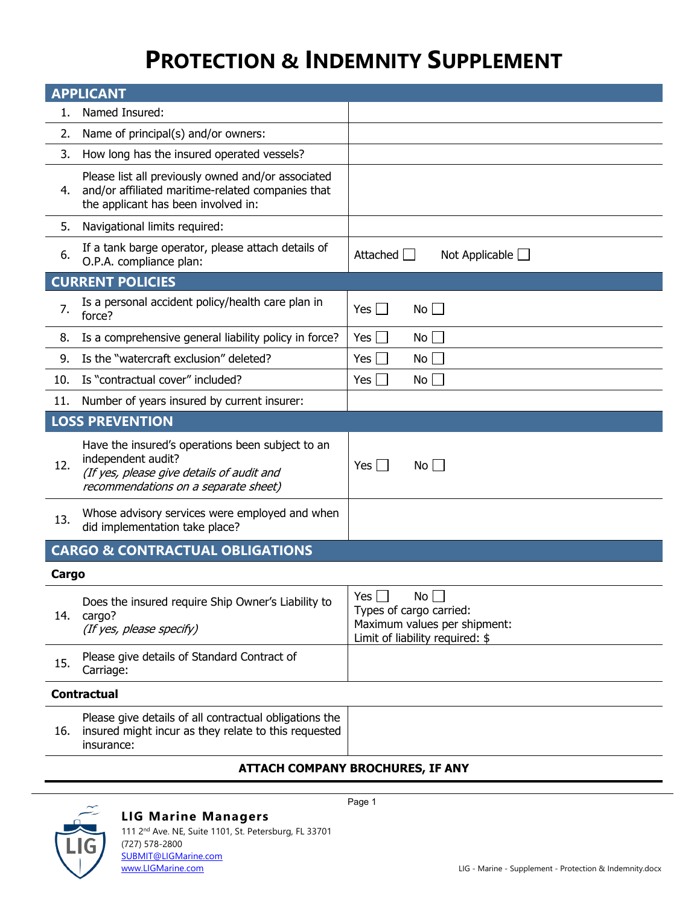# **PROTECTION & INDEMNITY SUPPLEMENT**

| <b>APPLICANT</b>                           |                                                                                                                                                             |                                                                                                                       |  |  |  |
|--------------------------------------------|-------------------------------------------------------------------------------------------------------------------------------------------------------------|-----------------------------------------------------------------------------------------------------------------------|--|--|--|
| 1.                                         | Named Insured:                                                                                                                                              |                                                                                                                       |  |  |  |
| 2.                                         | Name of principal(s) and/or owners:                                                                                                                         |                                                                                                                       |  |  |  |
| 3.                                         | How long has the insured operated vessels?                                                                                                                  |                                                                                                                       |  |  |  |
| 4.                                         | Please list all previously owned and/or associated<br>and/or affiliated maritime-related companies that<br>the applicant has been involved in:              |                                                                                                                       |  |  |  |
| 5.                                         | Navigational limits required:                                                                                                                               |                                                                                                                       |  |  |  |
| 6.                                         | If a tank barge operator, please attach details of<br>O.P.A. compliance plan:                                                                               | Attached<br>Not Applicable $\Box$                                                                                     |  |  |  |
|                                            | <b>CURRENT POLICIES</b>                                                                                                                                     |                                                                                                                       |  |  |  |
| 7.                                         | Is a personal accident policy/health care plan in<br>force?                                                                                                 | No<br>Yes $\vert \ \vert$                                                                                             |  |  |  |
| 8.                                         | Is a comprehensive general liability policy in force?                                                                                                       | Yes $\vert \ \vert$<br>No I                                                                                           |  |  |  |
| 9.                                         | Is the "watercraft exclusion" deleted?                                                                                                                      | $Yes \Box$<br>No                                                                                                      |  |  |  |
| 10.                                        | Is "contractual cover" included?                                                                                                                            | Yes $\Box$<br>No                                                                                                      |  |  |  |
| 11.                                        | Number of years insured by current insurer:                                                                                                                 |                                                                                                                       |  |  |  |
|                                            | <b>LOSS PREVENTION</b>                                                                                                                                      |                                                                                                                       |  |  |  |
| 12.                                        | Have the insured's operations been subject to an<br>independent audit?<br>(If yes, please give details of audit and<br>recommendations on a separate sheet) | Yes $\Box$<br>No l                                                                                                    |  |  |  |
| 13.                                        | Whose advisory services were employed and when<br>did implementation take place?                                                                            |                                                                                                                       |  |  |  |
| <b>CARGO &amp; CONTRACTUAL OBLIGATIONS</b> |                                                                                                                                                             |                                                                                                                       |  |  |  |
| Cargo                                      |                                                                                                                                                             |                                                                                                                       |  |  |  |
| 14.                                        | Does the insured require Ship Owner's Liability to<br>cargo?<br>(If yes, please specify)                                                                    | Yes $\Box$<br>No $\Box$<br>Types of cargo carried:<br>Maximum values per shipment:<br>Limit of liability required: \$ |  |  |  |
| 15.                                        | Please give details of Standard Contract of<br>Carriage:                                                                                                    |                                                                                                                       |  |  |  |
| <b>Contractual</b>                         |                                                                                                                                                             |                                                                                                                       |  |  |  |
| 16.                                        | Please give details of all contractual obligations the<br>insured might incur as they relate to this requested<br>insurance:                                |                                                                                                                       |  |  |  |

### **ATTACH COMPANY BROCHURES, IF ANY**



### **LIG Marine Managers**

Page 1

111 2nd Ave. NE, Suite 1101, St. Petersburg, FL 33701 (727) 578-2800 [SUBMIT@LIGMarine.com](mailto:SUBMIT@LIGMarine.com)<br>www.LIGMarine.com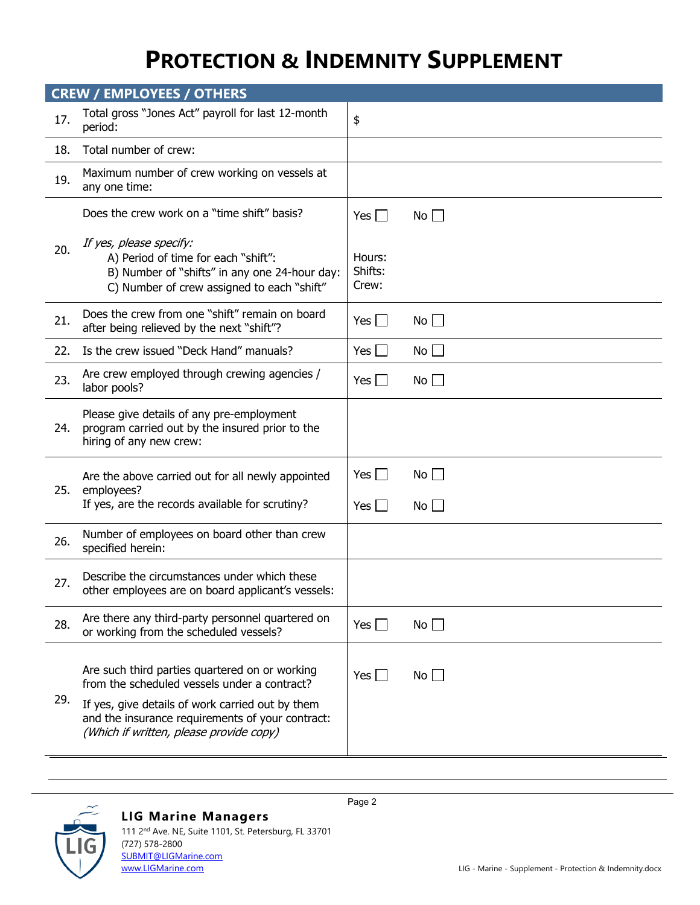## **PROTECTION & INDEMNITY SUPPLEMENT**

| <b>CREW / EMPLOYEES / OTHERS</b> |                                                                                                                                                                                                                                                   |                                                   |                         |  |
|----------------------------------|---------------------------------------------------------------------------------------------------------------------------------------------------------------------------------------------------------------------------------------------------|---------------------------------------------------|-------------------------|--|
| 17.                              | Total gross "Jones Act" payroll for last 12-month<br>period:                                                                                                                                                                                      | \$                                                |                         |  |
| 18.                              | Total number of crew:                                                                                                                                                                                                                             |                                                   |                         |  |
| 19.                              | Maximum number of crew working on vessels at<br>any one time:                                                                                                                                                                                     |                                                   |                         |  |
| 20.                              | Does the crew work on a "time shift" basis?<br>If yes, please specify:<br>A) Period of time for each "shift":<br>B) Number of "shifts" in any one 24-hour day:<br>C) Number of crew assigned to each "shift"                                      | Yes $\vert \ \vert$<br>Hours:<br>Shifts:<br>Crew: | No                      |  |
| 21.                              | Does the crew from one "shift" remain on board<br>after being relieved by the next "shift"?                                                                                                                                                       | Yes $\Box$                                        | $No \Box$               |  |
| 22.                              | Is the crew issued "Deck Hand" manuals?                                                                                                                                                                                                           | Yes $\Box$                                        | No                      |  |
| 23.                              | Are crew employed through crewing agencies /<br>labor pools?                                                                                                                                                                                      | Yes $\Box$                                        | No <sub>1</sub>         |  |
| 24.                              | Please give details of any pre-employment<br>program carried out by the insured prior to the<br>hiring of any new crew:                                                                                                                           |                                                   |                         |  |
| 25.                              | Are the above carried out for all newly appointed<br>employees?<br>If yes, are the records available for scrutiny?                                                                                                                                | Yes $\vert \ \vert$<br>Yes $\Box$                 | $No$    <br>$No$ $\Box$ |  |
| 26.                              | Number of employees on board other than crew<br>specified herein:                                                                                                                                                                                 |                                                   |                         |  |
| 27.                              | Describe the circumstances under which these<br>other employees are on board applicant's vessels:                                                                                                                                                 |                                                   |                         |  |
| 28.                              | Are there any third-party personnel quartered on<br>or working from the scheduled vessels?                                                                                                                                                        | Yes $\Box$                                        | No                      |  |
| 29.                              | Are such third parties quartered on or working<br>from the scheduled vessels under a contract?<br>If yes, give details of work carried out by them<br>and the insurance requirements of your contract:<br>(Which if written, please provide copy) | Yes $\Box$                                        | No $\Box$               |  |



### **LIG Marine Managers**

111 2nd Ave. NE, Suite 1101, St. Petersburg, FL 33701 (727) 578-2800 [SUBMIT@LIGMarine.com](mailto:SUBMIT@LIGMarine.com)<br>www.LIGMarine.com